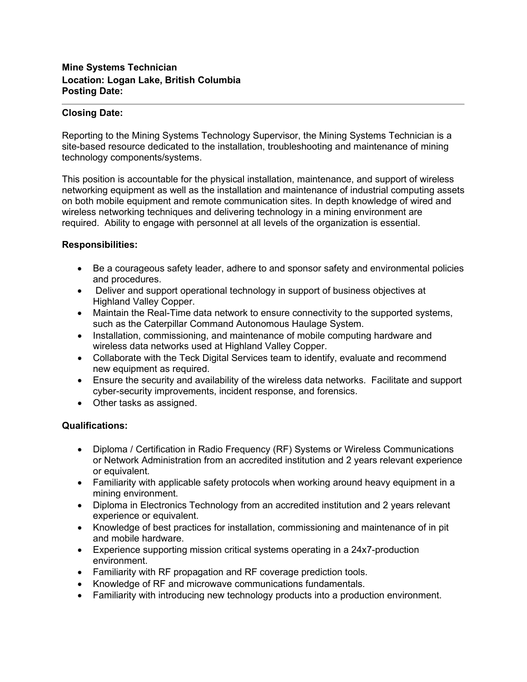## **Mine Systems Technician Location: Logan Lake, British Columbia Posting Date:**

## **Closing Date:**

Reporting to the Mining Systems Technology Supervisor, the Mining Systems Technician is a site-based resource dedicated to the installation, troubleshooting and maintenance of mining technology components/systems.

This position is accountable for the physical installation, maintenance, and support of wireless networking equipment as well as the installation and maintenance of industrial computing assets on both mobile equipment and remote communication sites. In depth knowledge of wired and wireless networking techniques and delivering technology in a mining environment are required. Ability to engage with personnel at all levels of the organization is essential.

## **Responsibilities:**

- Be a courageous safety leader, adhere to and sponsor safety and environmental policies and procedures.
- Deliver and support operational technology in support of business objectives at Highland Valley Copper.
- Maintain the Real-Time data network to ensure connectivity to the supported systems, such as the Caterpillar Command Autonomous Haulage System.
- Installation, commissioning, and maintenance of mobile computing hardware and wireless data networks used at Highland Valley Copper.
- Collaborate with the Teck Digital Services team to identify, evaluate and recommend new equipment as required.
- Ensure the security and availability of the wireless data networks. Facilitate and support cyber-security improvements, incident response, and forensics.
- Other tasks as assigned.

## **Qualifications:**

- Diploma / Certification in Radio Frequency (RF) Systems or Wireless Communications or Network Administration from an accredited institution and 2 years relevant experience or equivalent.
- Familiarity with applicable safety protocols when working around heavy equipment in a mining environment.
- Diploma in Electronics Technology from an accredited institution and 2 years relevant experience or equivalent.
- Knowledge of best practices for installation, commissioning and maintenance of in pit and mobile hardware.
- Experience supporting mission critical systems operating in a 24x7-production environment.
- Familiarity with RF propagation and RF coverage prediction tools.
- Knowledge of RF and microwave communications fundamentals.
- Familiarity with introducing new technology products into a production environment.